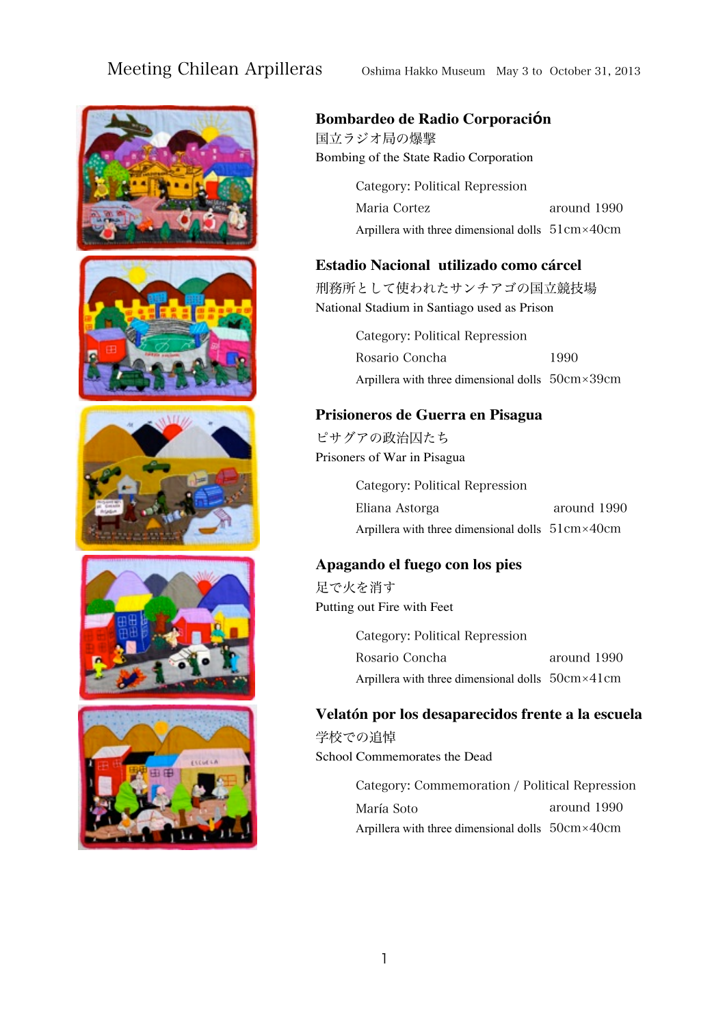









#### **Bombardeo de Radio Corporación**

国立ラジオ局の爆撃 Bombing of the State Radio Corporation

> Maria Cortez Arpillera with three dimensional dolls 51cm×40cm Category: Political Repression around 1990

#### **Estadio Nacional utilizado como cárcel**

刑務所として使われたサンチアゴの国立競技場 National Stadium in Santiago used as Prison

> Rosario Concha Arpillera with three dimensional dolls 50cm×39cm Category: Political Repression 1990

#### **Prisioneros de Guerra en Pisagua**

ピサグアの政治囚たち Prisoners of War in Pisagua

> Eliana Astorga Arpillera with three dimensional dolls 51cm×40cm Category: Political Repression around 1990

#### **Apagando el fuego con los pies**

足で火を消す Putting out Fire with Feet

> Rosario Concha Arpillera with three dimensional dolls 50cm×41cm Category: Political Repression around 1990

#### **Velatón por los desaparecidos frente a la escuela**

学校での追悼 School Commemorates the Dead

> María Soto Arpillera with three dimensional dolls 50cm×40cm Category: Commemoration / Political Repression around 1990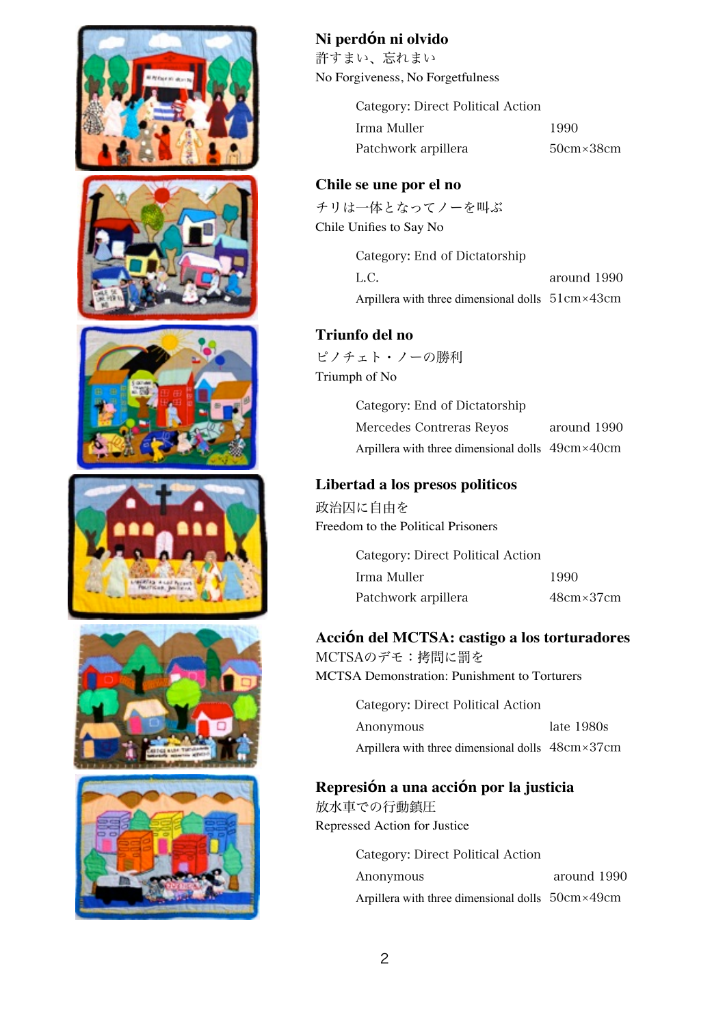

# **Ni perdón ni olvido**

許すまい、忘れまい No Forgiveness, No Forgetfulness

> Irma Muller Patchwork arpillera 50cm×38cm Category: Direct Political Action

1990

## **Chile se une por el no**

チリは一体となってノーを叫ぶ Chile Unifies to Say No

> L.C. Arpillera with three dimensional dolls 51cm×43cm Category: End of Dictatorship around 1990

## **Triunfo del no**

ピノチェト・ノーの勝利 Triumph of No

> Mercedes Contreras Reyos Arpillera with three dimensional dolls 49cm×40cm Category: End of Dictatorship around 1990

## **Libertad a los presos politicos**

政治囚に自由を Freedom to the Political Prisoners

| Category: Direct Political Action |                    |
|-----------------------------------|--------------------|
| - Irma Muller                     | 1990               |
| Patchwork arpillera               | $48cm \times 37cm$ |

## **Acción del MCTSA: castigo a los torturadores**

MCTSAのデモ:拷問に罰を MCTSA Demonstration: Punishment to Torturers

> Anonymous Arpillera with three dimensional dolls 48cm×37cm Category: Direct Political Action late 1980s

# **Represión a una acción por la justicia**

放水車での行動鎮圧 Repressed Action for Justice

> Anonymous Arpillera with three dimensional dolls 50cm×49cm Category: Direct Political Action around 1990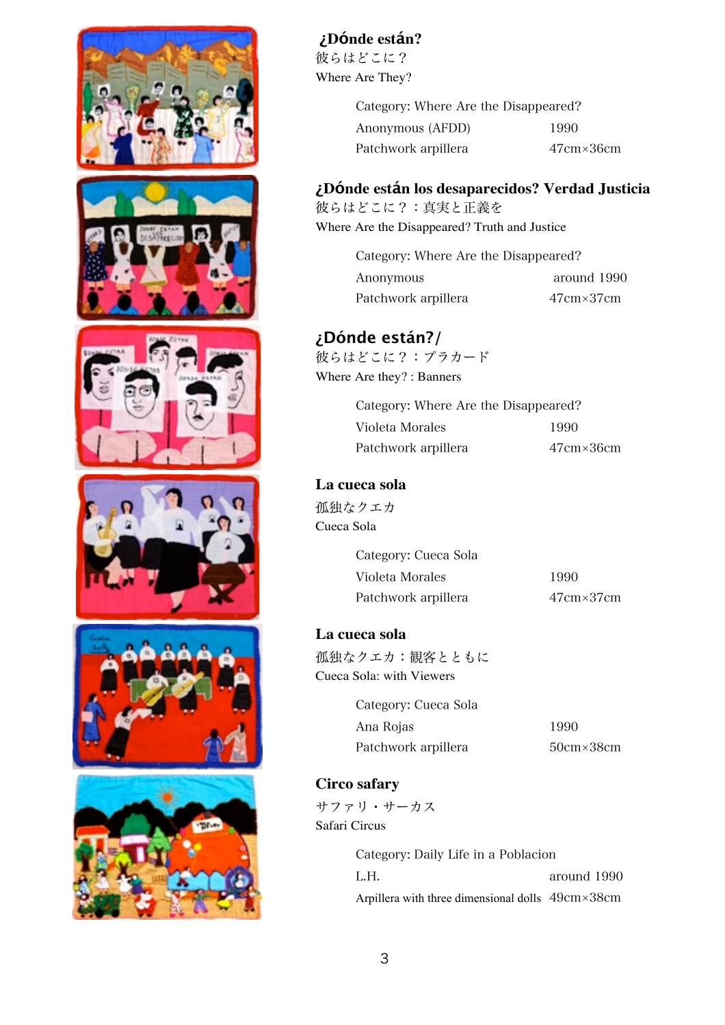

**¿Dónde están?**

彼らはどこに? Where Are They?

> Anonymous (AFDD) Patchwork arpillera 47cm×36cm Category: Where Are the Disappeared? 1990

## **¿Dónde están los desaparecidos? Verdad Justicia**

彼らはどこに?:真実と正義を Where Are the Disappeared? Truth and Justice

> Anonymous Patchwork arpillera 47cm×37cm Category: Where Are the Disappeared? around 1990

# **¿Dónde están?/**

彼らはどこに?:プラカード Where Are they? : Banners

> Violeta Morales Patchwork arpillera 47cm×36cm Category: Where Are the Disappeared? 1990

# **La cueca sola**

孤独なクエカ Cueca Sola

> Violeta Morales Patchwork arpillera 47cm×37cm Category: Cueca Sola 1990

## **La cueca sola**

孤独なクエカ:観客とともに Cueca Sola: with Viewers

> Ana Rojas Patchwork arpillera 50cm×38cm Category: Cueca Sola

1990

# **Circo safary**

サファリ・サーカス Safari Circus

> L.H. Arpillera with three dimensional dolls 49cm×38cm Category: Daily Life in a Poblacion around 1990